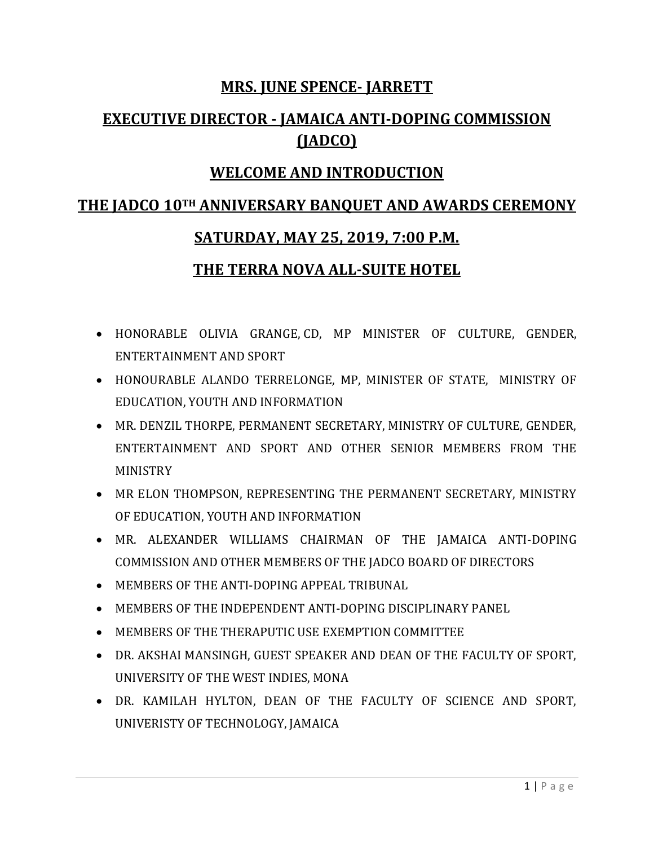### **MRS. JUNE SPENCE- JARRETT**

### **EXECUTIVE DIRECTOR - JAMAICA ANTI-DOPING COMMISSION (JADCO)**

### **WELCOME AND INTRODUCTION**

### **THE JADCO 10TH ANNIVERSARY BANQUET AND AWARDS CEREMONY**

### **SATURDAY, MAY 25, 2019, 7:00 P.M.**

### **THE TERRA NOVA ALL-SUITE HOTEL**

- HONORABLE OLIVIA GRANGE, CD, MP MINISTER OF CULTURE, GENDER, ENTERTAINMENT AND SPORT
- HONOURABLE ALANDO TERRELONGE, MP, MINISTER OF STATE, MINISTRY OF EDUCATION, YOUTH AND INFORMATION
- MR. DENZIL THORPE, PERMANENT SECRETARY, MINISTRY OF CULTURE, GENDER, ENTERTAINMENT AND SPORT AND OTHER SENIOR MEMBERS FROM THE MINISTRY
- MR ELON THOMPSON, REPRESENTING THE PERMANENT SECRETARY, MINISTRY OF EDUCATION, YOUTH AND INFORMATION
- MR. ALEXANDER WILLIAMS CHAIRMAN OF THE JAMAICA ANTI-DOPING COMMISSION AND OTHER MEMBERS OF THE JADCO BOARD OF DIRECTORS
- MEMBERS OF THE ANTI-DOPING APPEAL TRIBUNAL
- MEMBERS OF THE INDEPENDENT ANTI-DOPING DISCIPLINARY PANEL
- MEMBERS OF THE THERAPUTIC USE EXEMPTION COMMITTEE
- DR. AKSHAI MANSINGH, GUEST SPEAKER AND DEAN OF THE FACULTY OF SPORT, UNIVERSITY OF THE WEST INDIES, MONA
- DR. KAMILAH HYLTON, DEAN OF THE FACULTY OF SCIENCE AND SPORT, UNIVERISTY OF TECHNOLOGY, JAMAICA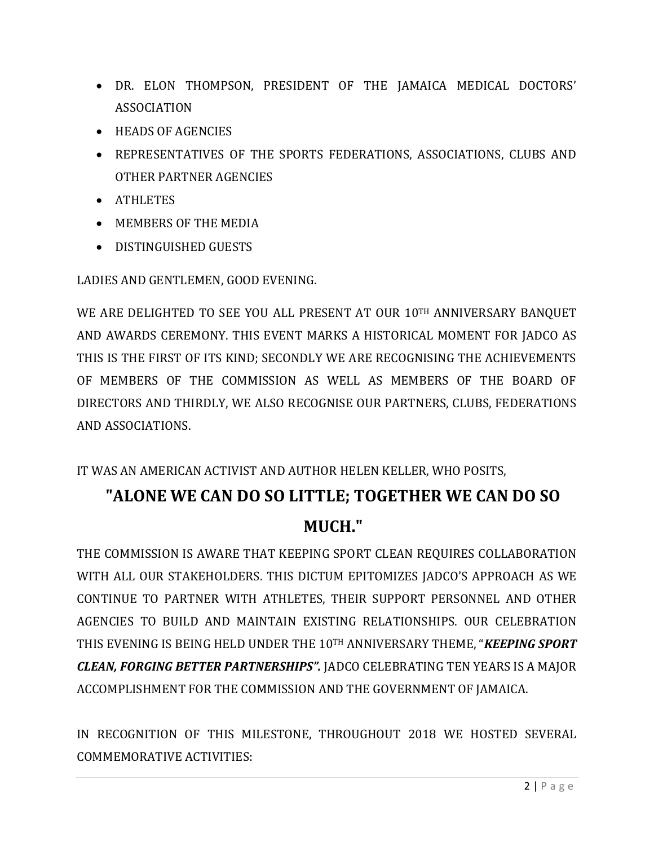- DR. ELON THOMPSON, PRESIDENT OF THE JAMAICA MEDICAL DOCTORS' ASSOCIATION
- **HEADS OF AGENCIES**
- REPRESENTATIVES OF THE SPORTS FEDERATIONS, ASSOCIATIONS, CLUBS AND OTHER PARTNER AGENCIES
- ATHLETES
- MEMBERS OF THE MEDIA
- DISTINGUISHED GUESTS

LADIES AND GENTLEMEN, GOOD EVENING.

WE ARE DELIGHTED TO SEE YOU ALL PRESENT AT OUR 10TH ANNIVERSARY BANQUET AND AWARDS CEREMONY. THIS EVENT MARKS A HISTORICAL MOMENT FOR JADCO AS THIS IS THE FIRST OF ITS KIND; SECONDLY WE ARE RECOGNISING THE ACHIEVEMENTS OF MEMBERS OF THE COMMISSION AS WELL AS MEMBERS OF THE BOARD OF DIRECTORS AND THIRDLY, WE ALSO RECOGNISE OUR PARTNERS, CLUBS, FEDERATIONS AND ASSOCIATIONS.

IT WAS AN AMERICAN ACTIVIST AND AUTHOR HELEN KELLER, WHO POSITS,

## **"ALONE WE CAN DO SO LITTLE; TOGETHER WE CAN DO SO MUCH."**

THE COMMISSION IS AWARE THAT KEEPING SPORT CLEAN REQUIRES COLLABORATION WITH ALL OUR STAKEHOLDERS. THIS DICTUM EPITOMIZES JADCO'S APPROACH AS WE CONTINUE TO PARTNER WITH ATHLETES, THEIR SUPPORT PERSONNEL AND OTHER AGENCIES TO BUILD AND MAINTAIN EXISTING RELATIONSHIPS. OUR CELEBRATION THIS EVENING IS BEING HELD UNDER THE 10TH ANNIVERSARY THEME, "*KEEPING SPORT CLEAN, FORGING BETTER PARTNERSHIPS".* JADCO CELEBRATING TEN YEARS IS A MAJOR ACCOMPLISHMENT FOR THE COMMISSION AND THE GOVERNMENT OF JAMAICA.

IN RECOGNITION OF THIS MILESTONE, THROUGHOUT 2018 WE HOSTED SEVERAL COMMEMORATIVE ACTIVITIES: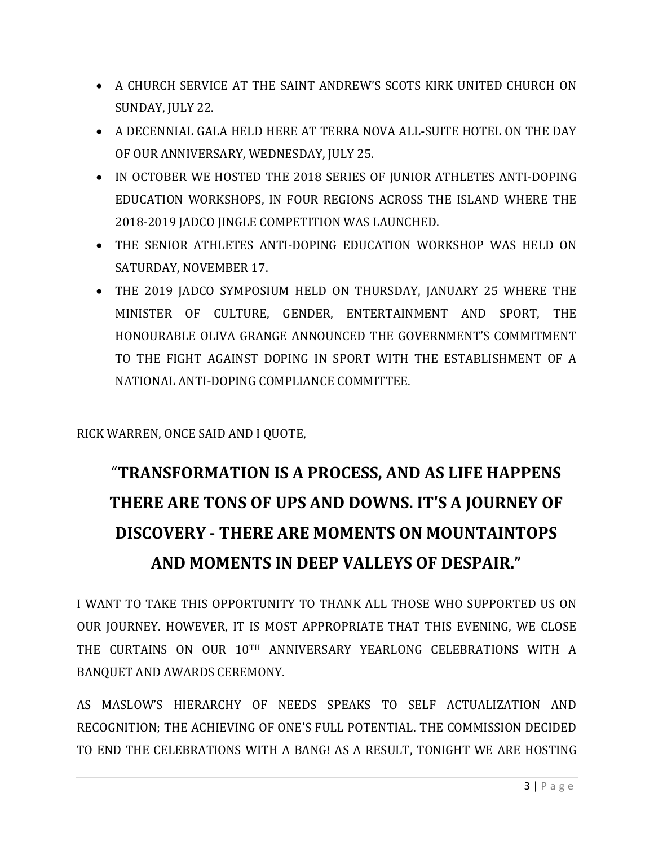- A CHURCH SERVICE AT THE SAINT ANDREW'S SCOTS KIRK UNITED CHURCH ON SUNDAY, JULY 22.
- A DECENNIAL GALA HELD HERE AT TERRA NOVA ALL-SUITE HOTEL ON THE DAY OF OUR ANNIVERSARY, WEDNESDAY, JULY 25.
- IN OCTOBER WE HOSTED THE 2018 SERIES OF JUNIOR ATHLETES ANTI-DOPING EDUCATION WORKSHOPS, IN FOUR REGIONS ACROSS THE ISLAND WHERE THE 2018-2019 JADCO JINGLE COMPETITION WAS LAUNCHED.
- THE SENIOR ATHLETES ANTI-DOPING EDUCATION WORKSHOP WAS HELD ON SATURDAY, NOVEMBER 17.
- THE 2019 JADCO SYMPOSIUM HELD ON THURSDAY, JANUARY 25 WHERE THE MINISTER OF CULTURE, GENDER, ENTERTAINMENT AND SPORT, THE HONOURABLE OLIVA GRANGE ANNOUNCED THE GOVERNMENT'S COMMITMENT TO THE FIGHT AGAINST DOPING IN SPORT WITH THE ESTABLISHMENT OF A NATIONAL ANTI-DOPING COMPLIANCE COMMITTEE.

RICK WARREN, ONCE SAID AND I QUOTE,

# "**TRANSFORMATION IS A PROCESS, AND AS LIFE HAPPENS THERE ARE TONS OF UPS AND DOWNS. IT'S A JOURNEY OF DISCOVERY - THERE ARE MOMENTS ON MOUNTAINTOPS AND MOMENTS IN DEEP VALLEYS OF DESPAIR."**

I WANT TO TAKE THIS OPPORTUNITY TO THANK ALL THOSE WHO SUPPORTED US ON OUR JOURNEY. HOWEVER, IT IS MOST APPROPRIATE THAT THIS EVENING, WE CLOSE THE CURTAINS ON OUR 10TH ANNIVERSARY YEARLONG CELEBRATIONS WITH A BANQUET AND AWARDS CEREMONY.

AS MASLOW'S HIERARCHY OF NEEDS SPEAKS TO SELF ACTUALIZATION AND RECOGNITION; THE ACHIEVING OF ONE'S FULL POTENTIAL. THE COMMISSION DECIDED TO END THE CELEBRATIONS WITH A BANG! AS A RESULT, TONIGHT WE ARE HOSTING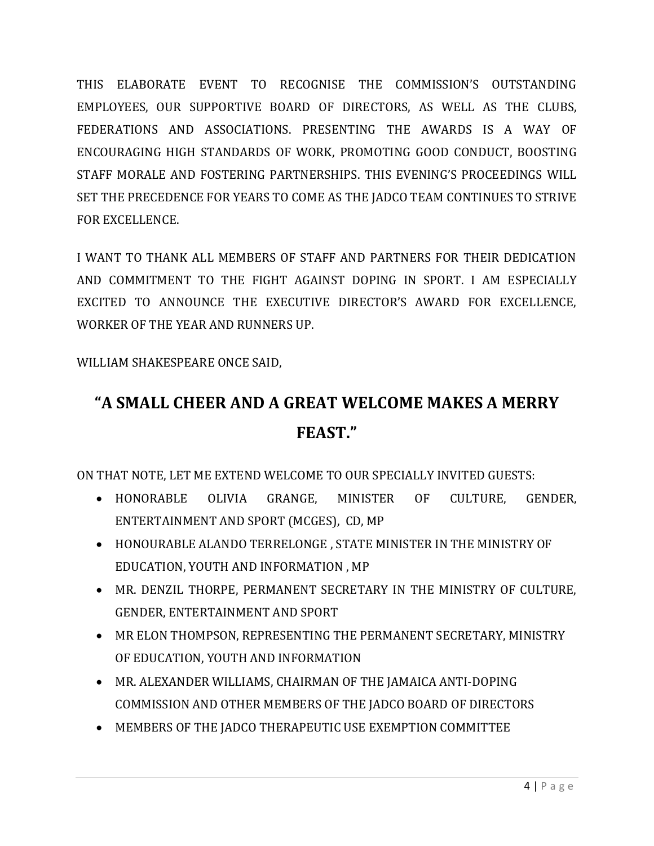THIS ELABORATE EVENT TO RECOGNISE THE COMMISSION'S OUTSTANDING EMPLOYEES, OUR SUPPORTIVE BOARD OF DIRECTORS, AS WELL AS THE CLUBS, FEDERATIONS AND ASSOCIATIONS. PRESENTING THE AWARDS IS A WAY OF ENCOURAGING HIGH STANDARDS OF WORK, PROMOTING GOOD CONDUCT, BOOSTING STAFF MORALE AND FOSTERING PARTNERSHIPS. THIS EVENING'S PROCEEDINGS WILL SET THE PRECEDENCE FOR YEARS TO COME AS THE JADCO TEAM CONTINUES TO STRIVE FOR EXCELLENCE.

I WANT TO THANK ALL MEMBERS OF STAFF AND PARTNERS FOR THEIR DEDICATION AND COMMITMENT TO THE FIGHT AGAINST DOPING IN SPORT. I AM ESPECIALLY EXCITED TO ANNOUNCE THE EXECUTIVE DIRECTOR'S AWARD FOR EXCELLENCE, WORKER OF THE YEAR AND RUNNERS UP.

WILLIAM SHAKESPEARE ONCE SAID,

# **"A SMALL CHEER AND A GREAT WELCOME MAKES A MERRY FEAST."**

ON THAT NOTE, LET ME EXTEND WELCOME TO OUR SPECIALLY INVITED GUESTS:

- HONORABLE OLIVIA GRANGE, MINISTER OF CULTURE, GENDER, ENTERTAINMENT AND SPORT (MCGES), CD, MP
- HONOURABLE ALANDO TERRELONGE , STATE MINISTER IN THE MINISTRY OF EDUCATION, YOUTH AND INFORMATION , MP
- MR. DENZIL THORPE, PERMANENT SECRETARY IN THE MINISTRY OF CULTURE, GENDER, ENTERTAINMENT AND SPORT
- MR ELON THOMPSON, REPRESENTING THE PERMANENT SECRETARY, MINISTRY OF EDUCATION, YOUTH AND INFORMATION
- MR. ALEXANDER WILLIAMS, CHAIRMAN OF THE JAMAICA ANTI-DOPING COMMISSION AND OTHER MEMBERS OF THE JADCO BOARD OF DIRECTORS
- MEMBERS OF THE JADCO THERAPEUTIC USE EXEMPTION COMMITTEE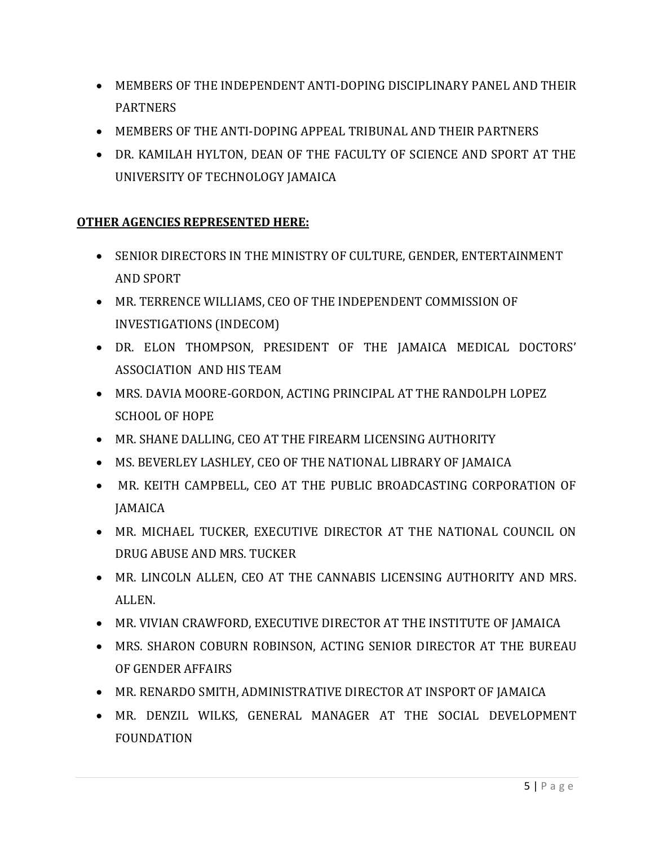- MEMBERS OF THE INDEPENDENT ANTI-DOPING DISCIPLINARY PANEL AND THEIR PARTNERS
- MEMBERS OF THE ANTI-DOPING APPEAL TRIBUNAL AND THEIR PARTNERS
- DR. KAMILAH HYLTON, DEAN OF THE FACULTY OF SCIENCE AND SPORT AT THE UNIVERSITY OF TECHNOLOGY JAMAICA

### **OTHER AGENCIES REPRESENTED HERE:**

- **SENIOR DIRECTORS IN THE MINISTRY OF CULTURE, GENDER, ENTERTAINMENT** AND SPORT
- MR. TERRENCE WILLIAMS, CEO OF THE INDEPENDENT COMMISSION OF INVESTIGATIONS (INDECOM)
- DR. ELON THOMPSON, PRESIDENT OF THE JAMAICA MEDICAL DOCTORS' ASSOCIATION AND HIS TEAM
- MRS. DAVIA MOORE-GORDON, ACTING PRINCIPAL AT THE RANDOLPH LOPEZ SCHOOL OF HOPE
- MR. SHANE DALLING, CEO AT THE FIREARM LICENSING AUTHORITY
- MS. BEVERLEY LASHLEY, CEO OF THE NATIONAL LIBRARY OF JAMAICA
- MR. KEITH CAMPBELL, CEO AT THE PUBLIC BROADCASTING CORPORATION OF **JAMAICA**
- MR. MICHAEL TUCKER, EXECUTIVE DIRECTOR AT THE NATIONAL COUNCIL ON DRUG ABUSE AND MRS. TUCKER
- MR. LINCOLN ALLEN, CEO AT THE CANNABIS LICENSING AUTHORITY AND MRS. ALLEN.
- MR. VIVIAN CRAWFORD, EXECUTIVE DIRECTOR AT THE INSTITUTE OF JAMAICA
- MRS. SHARON COBURN ROBINSON, ACTING SENIOR DIRECTOR AT THE BUREAU OF GENDER AFFAIRS
- MR. RENARDO SMITH, ADMINISTRATIVE DIRECTOR AT INSPORT OF JAMAICA
- MR. DENZIL WILKS, GENERAL MANAGER AT THE SOCIAL DEVELOPMENT FOUNDATION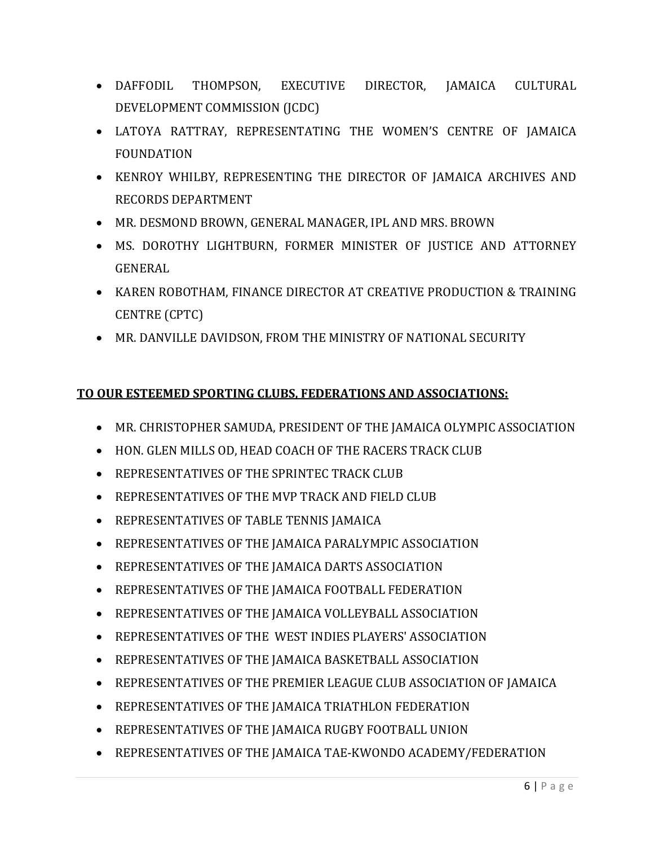- DAFFODIL THOMPSON, EXECUTIVE DIRECTOR, JAMAICA CULTURAL DEVELOPMENT COMMISSION (JCDC)
- LATOYA RATTRAY, REPRESENTATING THE WOMEN'S CENTRE OF JAMAICA FOUNDATION
- KENROY WHILBY, REPRESENTING THE DIRECTOR OF JAMAICA ARCHIVES AND RECORDS DEPARTMENT
- MR. DESMOND BROWN, GENERAL MANAGER, IPL AND MRS. BROWN
- MS. DOROTHY LIGHTBURN, FORMER MINISTER OF JUSTICE AND ATTORNEY GENERAL
- KAREN ROBOTHAM, FINANCE DIRECTOR AT CREATIVE PRODUCTION & TRAINING CENTRE (CPTC)
- MR. DANVILLE DAVIDSON, FROM THE MINISTRY OF NATIONAL SECURITY

#### **TO OUR ESTEEMED SPORTING CLUBS, FEDERATIONS AND ASSOCIATIONS:**

- MR. CHRISTOPHER SAMUDA, PRESIDENT OF THE JAMAICA OLYMPIC ASSOCIATION
- HON. GLEN MILLS OD, HEAD COACH OF THE RACERS TRACK CLUB
- REPRESENTATIVES OF THE SPRINTEC TRACK CLUB
- REPRESENTATIVES OF THE MVP TRACK AND FIELD CLUB
- REPRESENTATIVES OF TABLE TENNIS JAMAICA
- REPRESENTATIVES OF THE JAMAICA PARALYMPIC ASSOCIATION
- REPRESENTATIVES OF THE JAMAICA DARTS ASSOCIATION
- REPRESENTATIVES OF THE JAMAICA FOOTBALL FEDERATION
- REPRESENTATIVES OF THE JAMAICA VOLLEYBALL ASSOCIATION
- REPRESENTATIVES OF THE WEST INDIES PLAYERS' ASSOCIATION
- REPRESENTATIVES OF THE JAMAICA BASKETBALL ASSOCIATION
- REPRESENTATIVES OF THE PREMIER LEAGUE CLUB ASSOCIATION OF JAMAICA
- REPRESENTATIVES OF THE JAMAICA TRIATHLON FEDERATION
- REPRESENTATIVES OF THE JAMAICA RUGBY FOOTBALL UNION
- REPRESENTATIVES OF THE JAMAICA TAE-KWONDO ACADEMY/FEDERATION